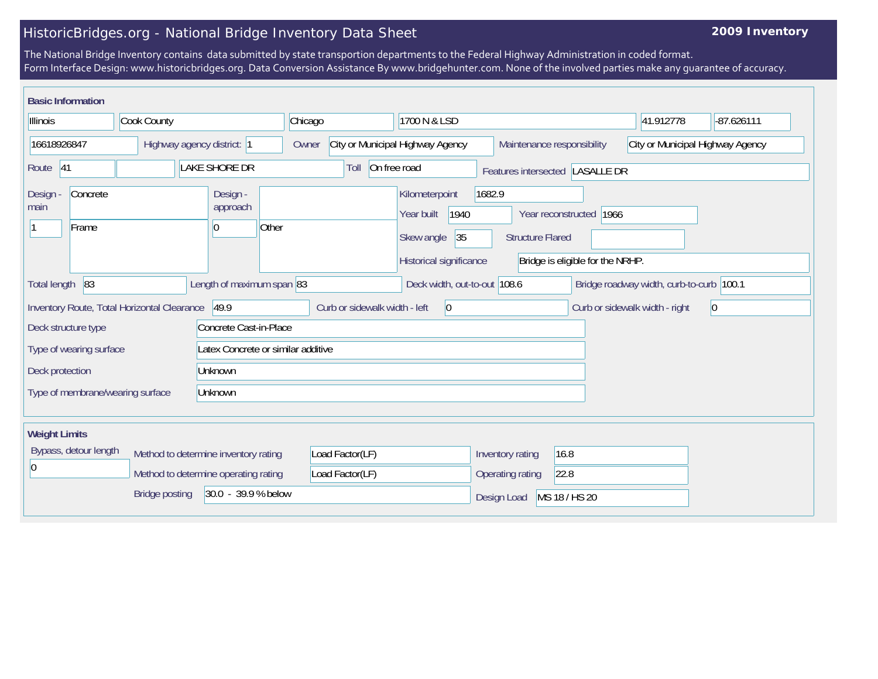## HistoricBridges.org - National Bridge Inventory Data Sheet

## **2009 Inventory**

The National Bridge Inventory contains data submitted by state transportion departments to the Federal Highway Administration in coded format. Form Interface Design: www.historicbridges.org. Data Conversion Assistance By www.bridgehunter.com. None of the involved parties make any guarantee of accuracy.

| <b>Basic Information</b>                                                                                                    |                                      |                                      |                               |                                                                                                                          |                                                                |                                |             |
|-----------------------------------------------------------------------------------------------------------------------------|--------------------------------------|--------------------------------------|-------------------------------|--------------------------------------------------------------------------------------------------------------------------|----------------------------------------------------------------|--------------------------------|-------------|
| Cook County<br>Illinois                                                                                                     |                                      | Chicago                              | 1700 N & LSD                  |                                                                                                                          | 41.912778                                                      | $-87.626111$                   |             |
| 16618926847<br>Highway agency district: 1                                                                                   |                                      |                                      | Owner                         | City or Municipal Highway Agency                                                                                         | City or Municipal Highway Agency<br>Maintenance responsibility |                                |             |
| Route 41                                                                                                                    |                                      | <b>LAKE SHORE DR</b>                 | Toll                          | On free road                                                                                                             | Features intersected LASALLE DR                                |                                |             |
| Concrete<br>Design -<br>main<br>Frame                                                                                       |                                      | Design -<br>approach<br>Other<br>10  |                               | Kilometerpoint<br>1682.9<br>1940<br>Year built<br>35<br>Skew angle<br><b>Structure Flared</b><br>Historical significance | Year reconstructed 1966<br>Bridge is eligible for the NRHP.    |                                |             |
| 83<br>Length of maximum span 83<br>Bridge roadway width, curb-to-curb 100.1<br>Total length<br>Deck width, out-to-out 108.6 |                                      |                                      |                               |                                                                                                                          |                                                                |                                |             |
| Inventory Route, Total Horizontal Clearance                                                                                 |                                      | 49.9                                 | Curb or sidewalk width - left | $ 0\rangle$                                                                                                              |                                                                | Curb or sidewalk width - right | $ 0\rangle$ |
| Deck structure type                                                                                                         |                                      | Concrete Cast-in-Place               |                               |                                                                                                                          |                                                                |                                |             |
| Latex Concrete or similar additive<br>Type of wearing surface                                                               |                                      |                                      |                               |                                                                                                                          |                                                                |                                |             |
| Deck protection<br>Unknown                                                                                                  |                                      |                                      |                               |                                                                                                                          |                                                                |                                |             |
| Type of membrane/wearing surface                                                                                            |                                      | Unknown                              |                               |                                                                                                                          |                                                                |                                |             |
| <b>Weight Limits</b>                                                                                                        |                                      |                                      |                               |                                                                                                                          |                                                                |                                |             |
| Bypass, detour length                                                                                                       | Method to determine inventory rating |                                      | Load Factor(LF)               | Inventory rating                                                                                                         | 16.8                                                           |                                |             |
| l0                                                                                                                          |                                      | Method to determine operating rating | Load Factor(LF)               | Operating rating                                                                                                         | 22.8                                                           |                                |             |
| 30.0 - 39.9 % below<br><b>Bridge posting</b>                                                                                |                                      |                                      |                               | Design Load                                                                                                              | MS 18 / HS 20                                                  |                                |             |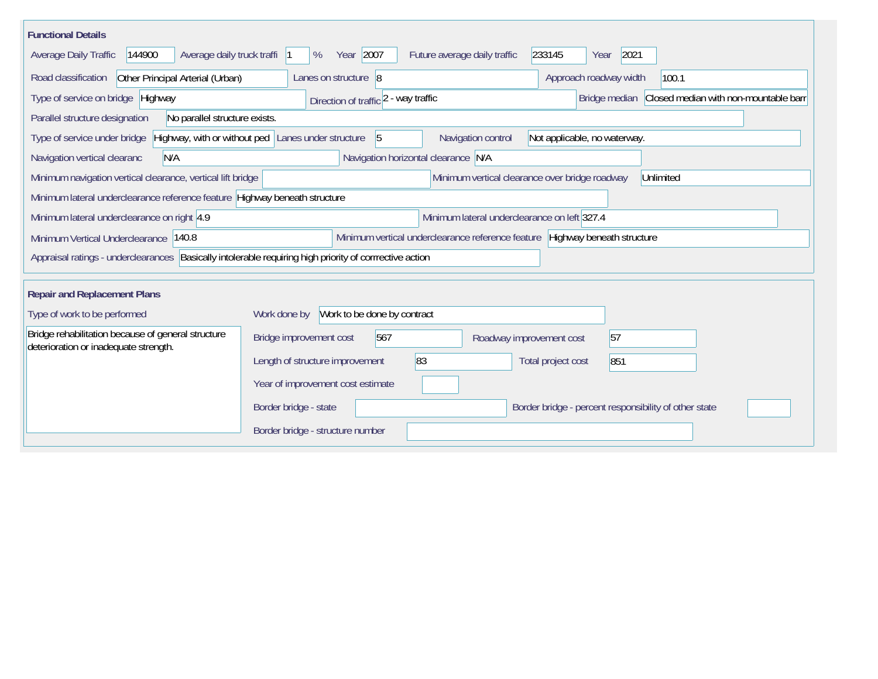| <b>Functional Details</b>                                                                                                                              |                                                                                                |  |  |  |  |  |  |
|--------------------------------------------------------------------------------------------------------------------------------------------------------|------------------------------------------------------------------------------------------------|--|--|--|--|--|--|
| Average daily truck traffi  1<br>Average Daily Traffic<br>144900                                                                                       | Year 2007<br>233145<br>2021<br>Future average daily traffic<br>%<br>Year                       |  |  |  |  |  |  |
| Road classification<br>Other Principal Arterial (Urban)                                                                                                | Approach roadway width<br>100.1<br>Lanes on structure 8                                        |  |  |  |  |  |  |
| Type of service on bridge Highway                                                                                                                      | Closed median with non-mountable barr<br>Direction of traffic 2 - way traffic<br>Bridge median |  |  |  |  |  |  |
| No parallel structure exists.<br>Parallel structure designation                                                                                        |                                                                                                |  |  |  |  |  |  |
| Highway, with or without ped Lanes under structure<br>$\sqrt{5}$<br>Type of service under bridge<br>Navigation control<br>Not applicable, no waterway. |                                                                                                |  |  |  |  |  |  |
| N/A<br>Navigation vertical clearanc                                                                                                                    | Navigation horizontal clearance N/A                                                            |  |  |  |  |  |  |
| Minimum vertical clearance over bridge roadway<br>Minimum navigation vertical clearance, vertical lift bridge<br>Unlimited                             |                                                                                                |  |  |  |  |  |  |
| Minimum lateral underclearance reference feature Highway beneath structure                                                                             |                                                                                                |  |  |  |  |  |  |
| Minimum lateral underclearance on right 4.9                                                                                                            | Minimum lateral underclearance on left 327.4                                                   |  |  |  |  |  |  |
| Minimum Vertical Underclearance 140.8                                                                                                                  | Minimum vertical underclearance reference feature<br>Highway beneath structure                 |  |  |  |  |  |  |
| Appraisal ratings - underclearances                                                                                                                    | Basically intolerable requiring high priority of corrrective action                            |  |  |  |  |  |  |
|                                                                                                                                                        |                                                                                                |  |  |  |  |  |  |
| <b>Repair and Replacement Plans</b>                                                                                                                    |                                                                                                |  |  |  |  |  |  |
| Type of work to be performed                                                                                                                           | Work to be done by contract<br>Work done by                                                    |  |  |  |  |  |  |
| Bridge rehabilitation because of general structure<br>deterioration or inadequate strength.                                                            | 567<br>Bridge improvement cost<br>57<br>Roadway improvement cost                               |  |  |  |  |  |  |
|                                                                                                                                                        | 83<br>Length of structure improvement<br>Total project cost<br>851                             |  |  |  |  |  |  |
|                                                                                                                                                        | Year of improvement cost estimate                                                              |  |  |  |  |  |  |
|                                                                                                                                                        | Border bridge - state<br>Border bridge - percent responsibility of other state                 |  |  |  |  |  |  |
|                                                                                                                                                        | Border bridge - structure number                                                               |  |  |  |  |  |  |